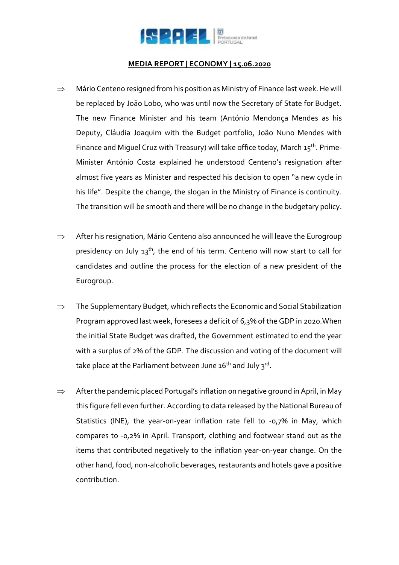

## **MEDIA REPORT | ECONOMY | 15.06.2020**

- $\Rightarrow$  Mário Centeno resigned from his position as Ministry of Finance last week. He will be replaced by João Lobo, who was until now the Secretary of State for Budget. The new Finance Minister and his team (António Mendonça Mendes as his Deputy, Cláudia Joaquim with the Budget portfolio, João Nuno Mendes with Finance and Miguel Cruz with Treasury) will take office today, March  $15^{th}$ . Prime-Minister António Costa explained he understood Centeno's resignation after almost five years as Minister and respected his decision to open "a new cycle in his life". Despite the change, the slogan in the Ministry of Finance is continuity. The transition will be smooth and there will be no change in the budgetary policy.
- $\Rightarrow$  After his resignation, Mário Centeno also announced he will leave the Eurogroup presidency on July 13<sup>th</sup>, the end of his term. Centeno will now start to call for candidates and outline the process for the election of a new president of the Eurogroup.
- $\Rightarrow$  The Supplementary Budget, which reflects the Economic and Social Stabilization Program approved last week, foresees a deficit of 6,3% of the GDP in 2020.When the initial State Budget was drafted, the Government estimated to end the year with a surplus of 2% of the GDP. The discussion and voting of the document will take place at the Parliament between June 16<sup>th</sup> and July 3<sup>rd</sup>.
- $\Rightarrow$  After the pandemic placed Portugal's inflation on negative ground in April, in May this figure fell even further. According to data released by the National Bureau of Statistics (INE), the year-on-year inflation rate fell to -0,7% in May, which compares to -0,2% in April. Transport, clothing and footwear stand out as the items that contributed negatively to the inflation year-on-year change. On the other hand, food, non-alcoholic beverages, restaurants and hotels gave a positive contribution.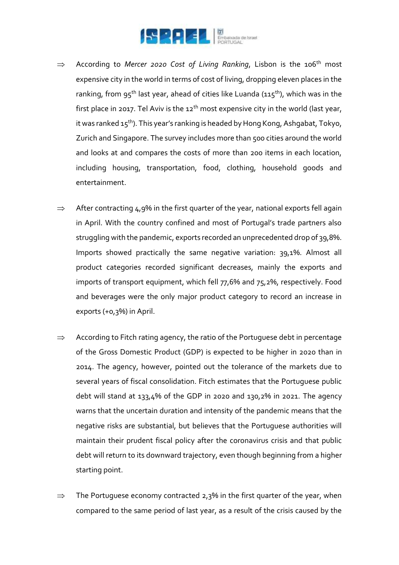

- $\implies$  According to *Mercer 2020 Cost of Living Ranking*, Lisbon is the 106<sup>th</sup> most expensive city in the world in terms of cost of living, dropping eleven places in the ranking, from 95<sup>th</sup> last year, ahead of cities like Luanda (115<sup>th</sup>), which was in the first place in 2017. Tel Aviv is the  $12<sup>th</sup>$  most expensive city in the world (last year, it was ranked  $15^{th}$ ). This year's ranking is headed by Hong Kong, Ashgabat, Tokyo, Zurich and Singapore. The survey includes more than 500 cities around the world and looks at and compares the costs of more than 200 items in each location, including housing, transportation, food, clothing, household goods and entertainment.
- $\Rightarrow$  After contracting 4,9% in the first quarter of the year, national exports fell again in April. With the country confined and most of Portugal's trade partners also struggling with the pandemic, exports recorded an unprecedented drop of 39,8%. Imports showed practically the same negative variation: 39,1%. Almost all product categories recorded significant decreases, mainly the exports and imports of transport equipment, which fell 77,6% and 75,2%, respectively. Food and beverages were the only major product category to record an increase in exports (+0,3%) in April.
- $\Rightarrow$  According to Fitch rating agency, the ratio of the Portuguese debt in percentage of the Gross Domestic Product (GDP) is expected to be higher in 2020 than in 2014. The agency, however, pointed out the tolerance of the markets due to several years of fiscal consolidation. Fitch estimates that the Portuguese public debt will stand at 133,4% of the GDP in 2020 and 130,2% in 2021. The agency warns that the uncertain duration and intensity of the pandemic means that the negative risks are substantial, but believes that the Portuguese authorities will maintain their prudent fiscal policy after the coronavirus crisis and that public debt will return to its downward trajectory, even though beginning from a higher starting point.
- $\Rightarrow$  The Portuguese economy contracted 2,3% in the first quarter of the year, when compared to the same period of last year, as a result of the crisis caused by the